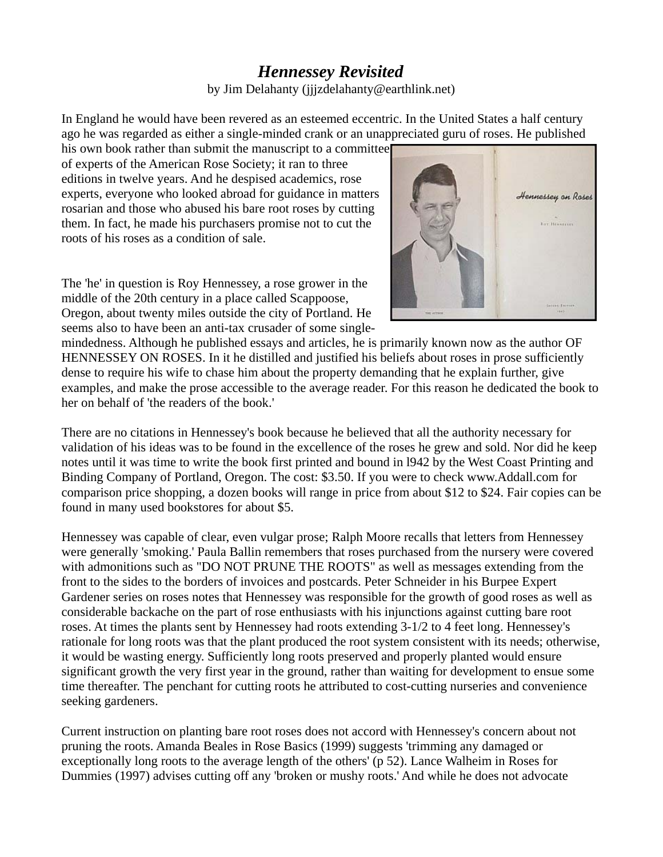## *Hennessey Revisited* by Jim Delahanty (jjjzdelahanty@earthlink.net)

In England he would have been revered as an esteemed eccentric. In the United States a half century ago he was regarded as either a single-minded crank or an unappreciated guru of roses. He published

his own book rather than submit the manuscript to a committee of experts of the American Rose Society; it ran to three editions in twelve years. And he despised academics, rose experts, everyone who looked abroad for guidance in matters rosarian and those who abused his bare root roses by cutting them. In fact, he made his purchasers promise not to cut the roots of his roses as a condition of sale.

The 'he' in question is Roy Hennessey, a rose grower in the middle of the 20th century in a place called Scappoose, Oregon, about twenty miles outside the city of Portland. He seems also to have been an anti-tax crusader of some single-



mindedness. Although he published essays and articles, he is primarily known now as the author OF HENNESSEY ON ROSES. In it he distilled and justified his beliefs about roses in prose sufficiently dense to require his wife to chase him about the property demanding that he explain further, give examples, and make the prose accessible to the average reader. For this reason he dedicated the book to her on behalf of 'the readers of the book.'

There are no citations in Hennessey's book because he believed that all the authority necessary for validation of his ideas was to be found in the excellence of the roses he grew and sold. Nor did he keep notes until it was time to write the book first printed and bound in l942 by the West Coast Printing and Binding Company of Portland, Oregon. The cost: \$3.50. If you were to check www.Addall.com for comparison price shopping, a dozen books will range in price from about \$12 to \$24. Fair copies can be found in many used bookstores for about \$5.

Hennessey was capable of clear, even vulgar prose; Ralph Moore recalls that letters from Hennessey were generally 'smoking.' Paula Ballin remembers that roses purchased from the nursery were covered with admonitions such as "DO NOT PRUNE THE ROOTS" as well as messages extending from the front to the sides to the borders of invoices and postcards. Peter Schneider in his Burpee Expert Gardener series on roses notes that Hennessey was responsible for the growth of good roses as well as considerable backache on the part of rose enthusiasts with his injunctions against cutting bare root roses. At times the plants sent by Hennessey had roots extending 3-1/2 to 4 feet long. Hennessey's rationale for long roots was that the plant produced the root system consistent with its needs; otherwise, it would be wasting energy. Sufficiently long roots preserved and properly planted would ensure significant growth the very first year in the ground, rather than waiting for development to ensue some time thereafter. The penchant for cutting roots he attributed to cost-cutting nurseries and convenience seeking gardeners.

Current instruction on planting bare root roses does not accord with Hennessey's concern about not pruning the roots. Amanda Beales in Rose Basics (1999) suggests 'trimming any damaged or exceptionally long roots to the average length of the others' (p 52). Lance Walheim in Roses for Dummies (1997) advises cutting off any 'broken or mushy roots.' And while he does not advocate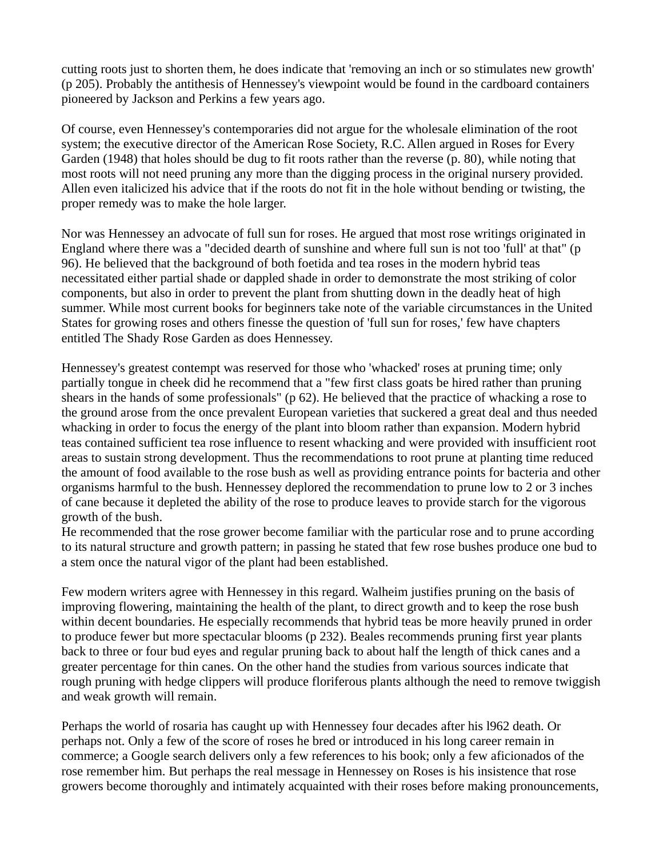cutting roots just to shorten them, he does indicate that 'removing an inch or so stimulates new growth' (p 205). Probably the antithesis of Hennessey's viewpoint would be found in the cardboard containers pioneered by Jackson and Perkins a few years ago.

Of course, even Hennessey's contemporaries did not argue for the wholesale elimination of the root system; the executive director of the American Rose Society, R.C. Allen argued in Roses for Every Garden (1948) that holes should be dug to fit roots rather than the reverse (p. 80), while noting that most roots will not need pruning any more than the digging process in the original nursery provided. Allen even italicized his advice that if the roots do not fit in the hole without bending or twisting, the proper remedy was to make the hole larger.

Nor was Hennessey an advocate of full sun for roses. He argued that most rose writings originated in England where there was a "decided dearth of sunshine and where full sun is not too 'full' at that" (p 96). He believed that the background of both foetida and tea roses in the modern hybrid teas necessitated either partial shade or dappled shade in order to demonstrate the most striking of color components, but also in order to prevent the plant from shutting down in the deadly heat of high summer. While most current books for beginners take note of the variable circumstances in the United States for growing roses and others finesse the question of 'full sun for roses,' few have chapters entitled The Shady Rose Garden as does Hennessey.

Hennessey's greatest contempt was reserved for those who 'whacked' roses at pruning time; only partially tongue in cheek did he recommend that a "few first class goats be hired rather than pruning shears in the hands of some professionals" (p 62). He believed that the practice of whacking a rose to the ground arose from the once prevalent European varieties that suckered a great deal and thus needed whacking in order to focus the energy of the plant into bloom rather than expansion. Modern hybrid teas contained sufficient tea rose influence to resent whacking and were provided with insufficient root areas to sustain strong development. Thus the recommendations to root prune at planting time reduced the amount of food available to the rose bush as well as providing entrance points for bacteria and other organisms harmful to the bush. Hennessey deplored the recommendation to prune low to 2 or 3 inches of cane because it depleted the ability of the rose to produce leaves to provide starch for the vigorous growth of the bush.

He recommended that the rose grower become familiar with the particular rose and to prune according to its natural structure and growth pattern; in passing he stated that few rose bushes produce one bud to a stem once the natural vigor of the plant had been established.

Few modern writers agree with Hennessey in this regard. Walheim justifies pruning on the basis of improving flowering, maintaining the health of the plant, to direct growth and to keep the rose bush within decent boundaries. He especially recommends that hybrid teas be more heavily pruned in order to produce fewer but more spectacular blooms (p 232). Beales recommends pruning first year plants back to three or four bud eyes and regular pruning back to about half the length of thick canes and a greater percentage for thin canes. On the other hand the studies from various sources indicate that rough pruning with hedge clippers will produce floriferous plants although the need to remove twiggish and weak growth will remain.

Perhaps the world of rosaria has caught up with Hennessey four decades after his l962 death. Or perhaps not. Only a few of the score of roses he bred or introduced in his long career remain in commerce; a Google search delivers only a few references to his book; only a few aficionados of the rose remember him. But perhaps the real message in Hennessey on Roses is his insistence that rose growers become thoroughly and intimately acquainted with their roses before making pronouncements,